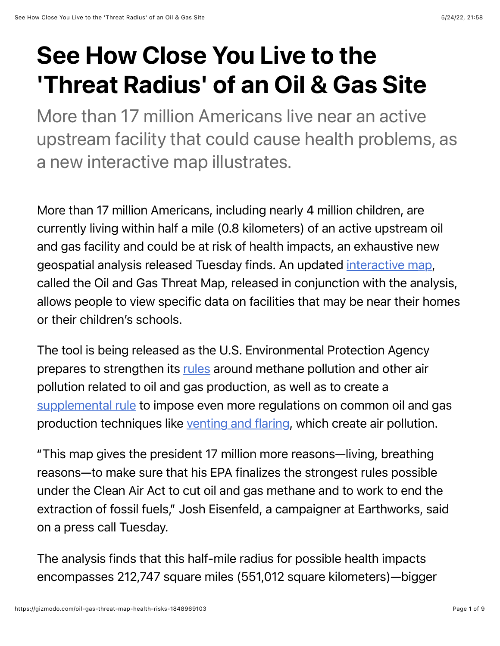## See How Close You Live to the 'Threat Radius' of an Oil & Gas Site

More than 17 million Americans live near an active upstream facility that could cause health problems, as a new interactive map illustrates.

More than 17 million Americans, including nearly 4 million children, are currently living within half a mile (0.8 kilometers) of an active upstream oil and gas facility and could be at risk of health impacts, an exhaustive new geospatial analysis released Tuesday finds. An updated [interactive map](https://oilandgasthreatmap.com/threat-map/), called the Oil and Gas Threat Map, released in conjunction with the analysis, allows people to view specific data on facilities that may be near their homes or their children's schools.

The tool is being released as the U.S. Environmental Protection Agency prepares to strengthen its [rules](https://www.epa.gov/newsreleases/us-sharply-cut-methane-pollution-threatens-climate-and-public-health) around methane pollution and other air pollution related to oil and gas production, as well as to create a [supplemental rule](https://www.eenews.net/articles/epa-plans-even-more-ambitious-methane-rule/) to impose even more regulations on common oil and gas production techniques like [venting and flaring,](https://gizmodo.com/texas-is-letting-shell-exxon-and-other-oil-producers-1847516033) which create air pollution.

"This map gives the president 17 million more reasons—living, breathing reasons—to make sure that his EPA finalizes the strongest rules possible under the Clean Air Act to cut oil and gas methane and to work to end the extraction of fossil fuels," Josh Eisenfeld, a campaigner at Earthworks, said on a press call Tuesday.

The analysis finds that this half-mile radius for possible health impacts encompasses 212,747 square miles (551,012 square kilometers)—bigger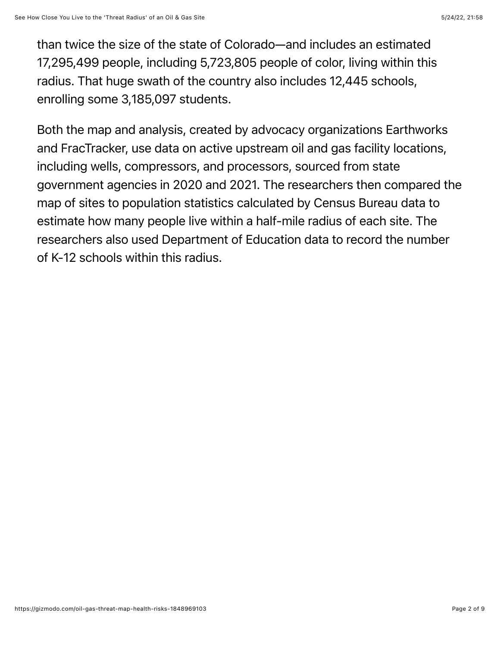than twice the size of the state of Colorado—and includes an estimated 17,295,499 people, including 5,723,805 people of color, living within this radius. That huge swath of the country also includes 12,445 schools, enrolling some 3,185,097 students.

Both the map and analysis, created by advocacy organizations Earthworks and FracTracker, use data on active upstream oil and gas facility locations, including wells, compressors, and processors, sourced from state government agencies in 2020 and 2021. The researchers then compared the map of sites to population statistics calculated by Census Bureau data to estimate how many people live within a half-mile radius of each site. The researchers also used Department of Education data to record the number of K-12 schools within this radius.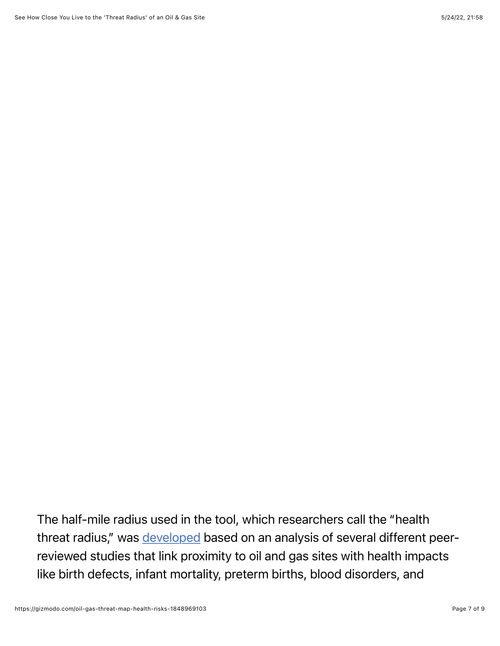The half-mile radius used in the tool, which researchers call the "health threat radius," was [developed](https://oilandgasthreatmap.com/about/threat/) based on an analysis of several different peerreviewed studies that link proximity to oil and gas sites with health impacts like birth defects, infant mortality, preterm births, blood disorders, and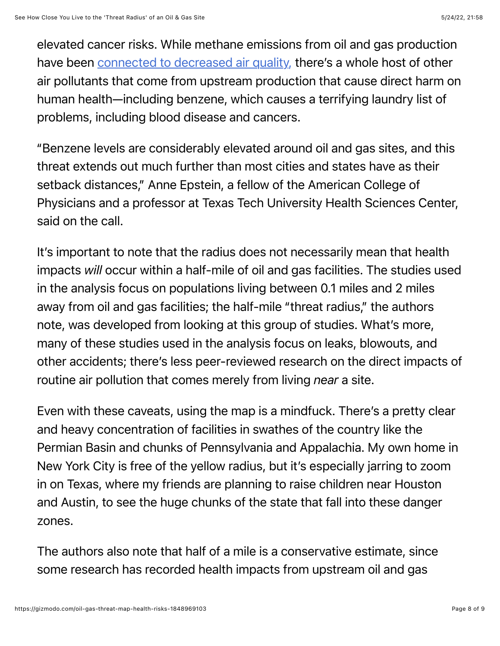elevated cancer risks. While methane emissions from oil and gas production have been [connected to decreased air quality,](https://www.edf.org/sites/default/files/content/methane_rule_health_fact_sheet_reboot_final_no_citations.pdf) there's a whole host of other air pollutants that come from upstream production that cause direct harm on human health—including benzene, which causes a terrifying laundry list of problems, including blood disease and cancers.

"Benzene levels are considerably elevated around oil and gas sites, and this threat extends out much further than most cities and states have as their setback distances," Anne Epstein, a fellow of the American College of Physicians and a professor at Texas Tech University Health Sciences Center, said on the call.

It's important to note that the radius does not necessarily mean that health impacts *will* occur within a half-mile of oil and gas facilities. The studies used in the analysis focus on populations living between 0.1 miles and 2 miles away from oil and gas facilities; the half-mile "threat radius," the authors note, was developed from looking at this group of studies. What's more, many of these studies used in the analysis focus on leaks, blowouts, and other accidents; there's less peer-reviewed research on the direct impacts of routine air pollution that comes merely from living *near* a site.

Even with these caveats, using the map is a mindfuck. There's a pretty clear and heavy concentration of facilities in swathes of the country like the Permian Basin and chunks of Pennsylvania and Appalachia. My own home in New York City is free of the yellow radius, but it's especially jarring to zoom in on Texas, where my friends are planning to raise children near Houston and Austin, to see the huge chunks of the state that fall into these danger zones.

The authors also note that half of a mile is a conservative estimate, since some research has recorded health impacts from upstream oil and gas